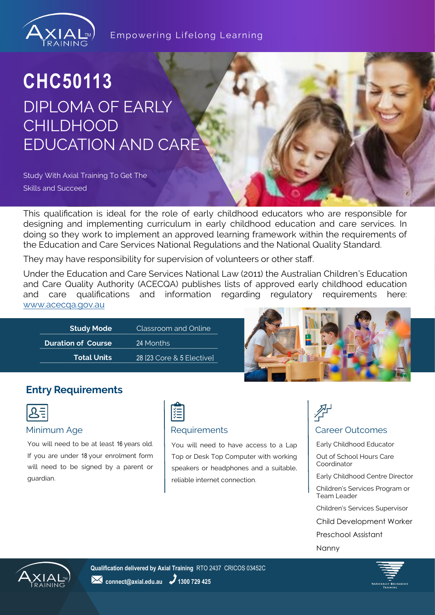

## **CHC50113** DIPLOMA OF EARLY **CHILDHOOD** EDUCATION AND CARE

Study With Axial Training To Get The Skills and Succeed

This qualification is ideal for the role of early childhood educators who are responsible for designing and implementing curriculum in early childhood education and care services. In doing so they work to implement an approved learning framework within the requirements of the Education and Care Services National Regulations and the National Quality Standard.

They may have responsibility for supervision of volunteers or other staff.

Under the Education and Care Services National Law (2011) the Australian Children's Education and Care Quality Authority (ACECQA) publishes lists of approved early childhood education and care qualifications and information regarding regulatory requirements here: [www.acecqa.gov.au](http://www.acecqa.gov.au)

| <b>Study Mode</b>         | Classroom and Online      |  |
|---------------------------|---------------------------|--|
| <b>Duration of Course</b> | '24 Months                |  |
| <b>Total Units</b>        | 28 [23 Core & 5 Elective] |  |



### **Entry Requirements**

|--|

You will need to be at least 16 years old. If you are under 18 your enrolment form will need to be signed by a parent or guardian.



You will need to have access to a Lap Top or Desk Top Computer with working speakers or headphones and a suitable, reliable internet connection.



#### Minimum Age **Requirements Requirements Requirements Requirements Requirements**

Early Childhood Educator

Out of School Hours Care Coordinator

- Early Childhood Centre Director
- Children's Services Program or Team Leader
- Children's Services Supervisor
- Child Development Worker

Preschool Assistant

Nanny



**Qualification delivered by Axial Training** RTO 2437 CRICOS 03452C **24** connect@axial.edu.au **2** 1300 729 425